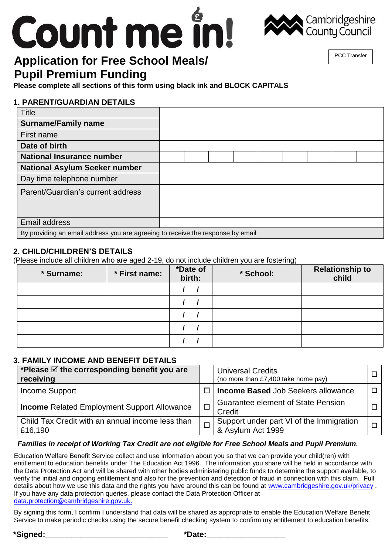# Count me in!



# **Application for Free School Meals/ Pupil Premium Funding**

**Please complete all sections of this form using black ink and BLOCK CAPITALS**

### **1. PARENT/GUARDIAN DETAILS**

| <b>Title</b>                                                                    |  |  |  |  |  |
|---------------------------------------------------------------------------------|--|--|--|--|--|
| <b>Surname/Family name</b>                                                      |  |  |  |  |  |
| First name                                                                      |  |  |  |  |  |
| Date of birth                                                                   |  |  |  |  |  |
| <b>National Insurance number</b>                                                |  |  |  |  |  |
| <b>National Asylum Seeker number</b>                                            |  |  |  |  |  |
| Day time telephone number                                                       |  |  |  |  |  |
| Parent/Guardian's current address                                               |  |  |  |  |  |
|                                                                                 |  |  |  |  |  |
|                                                                                 |  |  |  |  |  |
| Email address                                                                   |  |  |  |  |  |
| By providing an email address you are agreeing to receive the response by email |  |  |  |  |  |

#### **2. CHILD/CHILDREN'S DETAILS**

(Please include all children who are aged 2-19, do not include children you are fostering)

| * Surname: | * First name: | *Date of<br>birth: | * School: | <b>Relationship to</b><br>child |  |
|------------|---------------|--------------------|-----------|---------------------------------|--|
|            |               |                    |           |                                 |  |
|            |               |                    |           |                                 |  |
|            |               |                    |           |                                 |  |
|            |               |                    |           |                                 |  |
|            |               |                    |           |                                 |  |

#### **3. FAMILY INCOME AND BENEFIT DETAILS**

| *Please $\boxtimes$ the corresponding benefit you are<br>receiving | <b>Universal Credits</b><br>(no more than £7,400 take home pay) | $\Box$ |
|--------------------------------------------------------------------|-----------------------------------------------------------------|--------|
| Income Support                                                     | <b>Income Based Job Seekers allowance</b>                       | П      |
| <b>Income</b> Related Employment Support Allowance                 | <b>Guarantee element of State Pension</b><br>Credit             | $\Box$ |
| Child Tax Credit with an annual income less than<br>£16,190        | Support under part VI of the Immigration<br>& Asylum Act 1999   | П      |

#### *Families in receipt of Working Tax Credit are not eligible for Free School Meals and Pupil Premium.*

Education Welfare Benefit Service collect and use information about you so that we can provide your child(ren) with entitlement to education benefits under The Education Act 1996. The information you share will be held in accordance with the Data Protection Act and will be shared with other bodies administering public funds to determine the support available, to verify the initial and ongoing entitlement and also for the prevention and detection of fraud in connection with this claim. Full details about how we use this data and the rights you have around this can be found at [www.cambridgeshire.gov.uk/privacy](http://www.cambridgeshire.gov.uk/privacy) . If you have any data protection queries, please contact the Data Protection Officer at [data.protection@cambridgeshire.gov.uk.](mailto:data.protection@cambridgeshire.gov.uk)

By signing this form, I confirm I understand that data will be shared as appropriate to enable the Education Welfare Benefit Service to make periodic checks using the secure benefit checking system to confirm my entitlement to education benefits.

\*Signed: the state of the state of the state of the state of the state of the state of the state of the state of the state of the state of the state of the state of the state of the state of the state of the state of the s

PCC Transfer